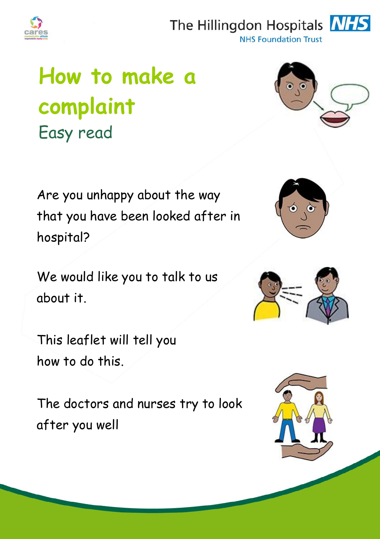

## The Hillingdon Hospitals **NHS**



**NHS Foundation Trust** 

# **How to make a complaint**  Easy read



Are you unhappy about the way that you have been looked after in hospital?

We would like you to talk to us about it.

This leaflet will tell you how to do this.

The doctors and nurses try to look after you well





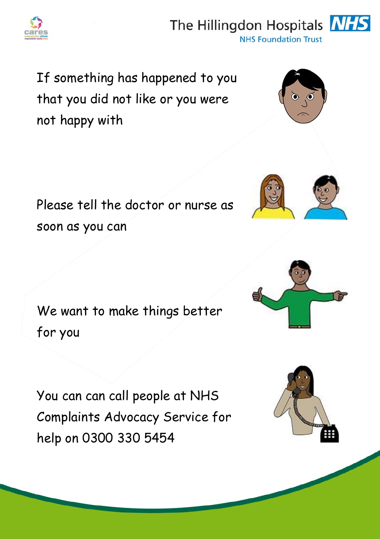

### The Hillingdon Hospitals **NH**



If something has happened to you that you did not like or you were not happy with

Please tell the doctor or nurse as soon as you can

We want to make things better for you

You can can call people at NHS Complaints Advocacy Service for help on 0300 330 5454









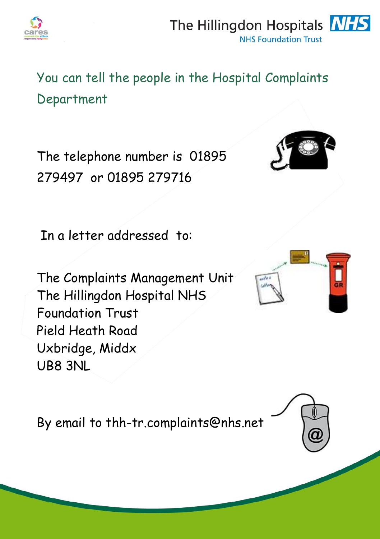

#### The Hillingdon Hospitals **NHS NHS Foundation Trust**

You can tell the people in the Hospital Complaints Department

The telephone number is 01895 279497 or 01895 279716

In a letter addressed to:

The Complaints Management Unit The Hillingdon Hospital NHS Foundation Trust Pield Heath Road Uxbridge, Middx UB8 3NL

By email to thh-tr.complaints@nhs.net